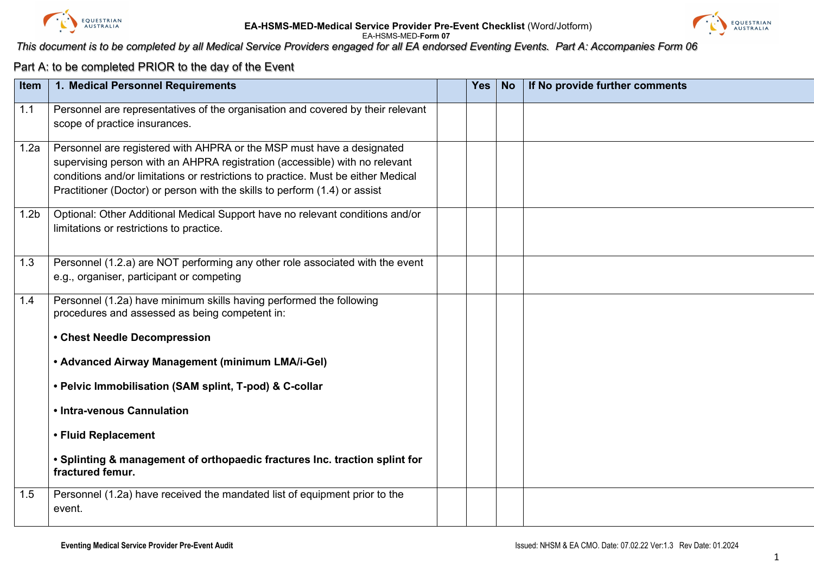

### **EA-HSMS-MED-Medical Service Provider Pre-Event Checklist** (Word/Jotform) EA-HSMS-MED-**Form 07**



## *This document is to be completed by all Medical Service Providers engaged for all EA endorsed Eventing Events. Part A: Accompanies Form 06*

### Part A: to be completed PRIOR to the day of the Event

| Item             | 1. Medical Personnel Requirements                                                                                                                                                                                                                                                                                       | <b>Yes</b> | <b>No</b> | If No provide further comments |
|------------------|-------------------------------------------------------------------------------------------------------------------------------------------------------------------------------------------------------------------------------------------------------------------------------------------------------------------------|------------|-----------|--------------------------------|
| 1.1              | Personnel are representatives of the organisation and covered by their relevant<br>scope of practice insurances.                                                                                                                                                                                                        |            |           |                                |
| 1.2a             | Personnel are registered with AHPRA or the MSP must have a designated<br>supervising person with an AHPRA registration (accessible) with no relevant<br>conditions and/or limitations or restrictions to practice. Must be either Medical<br>Practitioner (Doctor) or person with the skills to perform (1.4) or assist |            |           |                                |
| 1.2 <sub>b</sub> | Optional: Other Additional Medical Support have no relevant conditions and/or<br>limitations or restrictions to practice.                                                                                                                                                                                               |            |           |                                |
| 1.3              | Personnel (1.2.a) are NOT performing any other role associated with the event<br>e.g., organiser, participant or competing                                                                                                                                                                                              |            |           |                                |
| 1.4              | Personnel (1.2a) have minimum skills having performed the following<br>procedures and assessed as being competent in:                                                                                                                                                                                                   |            |           |                                |
|                  | • Chest Needle Decompression                                                                                                                                                                                                                                                                                            |            |           |                                |
|                  | • Advanced Airway Management (minimum LMA/i-Gel)                                                                                                                                                                                                                                                                        |            |           |                                |
|                  | • Pelvic Immobilisation (SAM splint, T-pod) & C-collar                                                                                                                                                                                                                                                                  |            |           |                                |
|                  | • Intra-venous Cannulation                                                                                                                                                                                                                                                                                              |            |           |                                |
|                  | • Fluid Replacement                                                                                                                                                                                                                                                                                                     |            |           |                                |
|                  | • Splinting & management of orthopaedic fractures Inc. traction splint for<br>fractured femur.                                                                                                                                                                                                                          |            |           |                                |
| 1.5              | Personnel (1.2a) have received the mandated list of equipment prior to the<br>event.                                                                                                                                                                                                                                    |            |           |                                |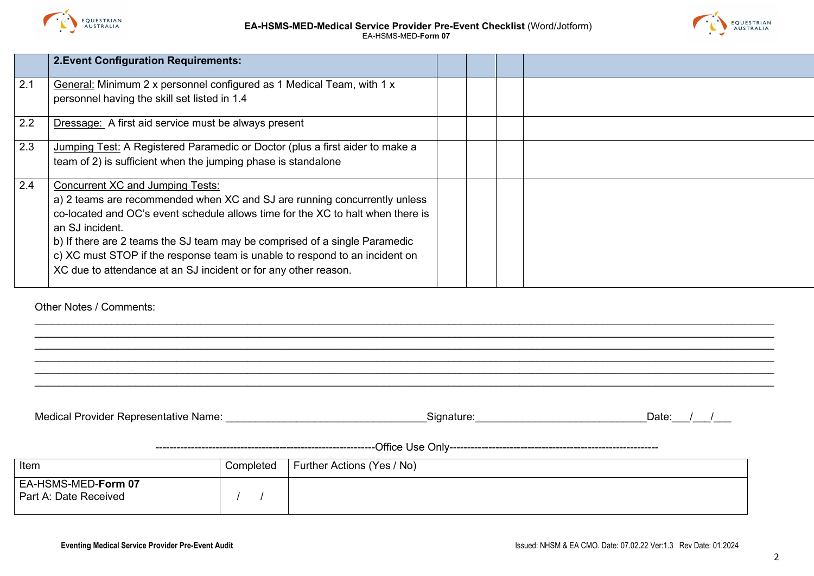



|     | <b>2. Event Configuration Requirements:</b>                                     |  |  |
|-----|---------------------------------------------------------------------------------|--|--|
| 2.1 | General: Minimum 2 x personnel configured as 1 Medical Team, with 1 x           |  |  |
|     | personnel having the skill set listed in 1.4                                    |  |  |
| 2.2 | <b>Dressage:</b> A first aid service must be always present                     |  |  |
| 2.3 | Jumping Test: A Registered Paramedic or Doctor (plus a first aider to make a    |  |  |
|     | team of 2) is sufficient when the jumping phase is standalone                   |  |  |
| 2.4 | Concurrent XC and Jumping Tests:                                                |  |  |
|     | a) 2 teams are recommended when XC and SJ are running concurrently unless       |  |  |
|     | co-located and OC's event schedule allows time for the XC to halt when there is |  |  |
|     | an SJ incident.                                                                 |  |  |
|     | b) If there are 2 teams the SJ team may be comprised of a single Paramedic      |  |  |
|     | c) XC must STOP if the response team is unable to respond to an incident on     |  |  |
|     | XC due to attendance at an SJ incident or for any other reason.                 |  |  |
|     |                                                                                 |  |  |

\_\_\_\_\_\_\_\_\_\_\_\_\_\_\_\_\_\_\_\_\_\_\_\_\_\_\_\_\_\_\_\_\_\_\_\_\_\_\_\_\_\_\_\_\_\_\_\_\_\_\_\_\_\_\_\_\_\_\_\_\_\_\_\_\_\_\_\_\_\_\_\_\_\_\_\_\_\_\_\_\_\_\_\_\_\_\_\_\_\_\_\_\_\_\_\_\_\_\_\_\_\_\_\_\_\_\_\_\_\_\_\_\_\_\_\_\_\_\_\_\_\_\_\_\_ \_\_\_\_\_\_\_\_\_\_\_\_\_\_\_\_\_\_\_\_\_\_\_\_\_\_\_\_\_\_\_\_\_\_\_\_\_\_\_\_\_\_\_\_\_\_\_\_\_\_\_\_\_\_\_\_\_\_\_\_\_\_\_\_\_\_\_\_\_\_\_\_\_\_\_\_\_\_\_\_\_\_\_\_\_\_\_\_\_\_\_\_\_\_\_\_\_\_\_\_\_\_\_\_\_\_\_\_\_\_\_\_\_\_\_\_\_\_\_\_\_\_\_\_\_ \_\_\_\_\_\_\_\_\_\_\_\_\_\_\_\_\_\_\_\_\_\_\_\_\_\_\_\_\_\_\_\_\_\_\_\_\_\_\_\_\_\_\_\_\_\_\_\_\_\_\_\_\_\_\_\_\_\_\_\_\_\_\_\_\_\_\_\_\_\_\_\_\_\_\_\_\_\_\_\_\_\_\_\_\_\_\_\_\_\_\_\_\_\_\_\_\_\_\_\_\_\_\_\_\_\_\_\_\_\_\_\_\_\_\_\_\_\_\_\_\_\_\_\_\_ \_\_\_\_\_\_\_\_\_\_\_\_\_\_\_\_\_\_\_\_\_\_\_\_\_\_\_\_\_\_\_\_\_\_\_\_\_\_\_\_\_\_\_\_\_\_\_\_\_\_\_\_\_\_\_\_\_\_\_\_\_\_\_\_\_\_\_\_\_\_\_\_\_\_\_\_\_\_\_\_\_\_\_\_\_\_\_\_\_\_\_\_\_\_\_\_\_\_\_\_\_\_\_\_\_\_\_\_\_\_\_\_\_\_\_\_\_\_\_\_\_\_\_\_\_ \_\_\_\_\_\_\_\_\_\_\_\_\_\_\_\_\_\_\_\_\_\_\_\_\_\_\_\_\_\_\_\_\_\_\_\_\_\_\_\_\_\_\_\_\_\_\_\_\_\_\_\_\_\_\_\_\_\_\_\_\_\_\_\_\_\_\_\_\_\_\_\_\_\_\_\_\_\_\_\_\_\_\_\_\_\_\_\_\_\_\_\_\_\_\_\_\_\_\_\_\_\_\_\_\_\_\_\_\_\_\_\_\_\_\_\_\_\_\_\_\_\_\_\_\_ \_\_\_\_\_\_\_\_\_\_\_\_\_\_\_\_\_\_\_\_\_\_\_\_\_\_\_\_\_\_\_\_\_\_\_\_\_\_\_\_\_\_\_\_\_\_\_\_\_\_\_\_\_\_\_\_\_\_\_\_\_\_\_\_\_\_\_\_\_\_\_\_\_\_\_\_\_\_\_\_\_\_\_\_\_\_\_\_\_\_\_\_\_\_\_\_\_\_\_\_\_\_\_\_\_\_\_\_\_\_\_\_\_\_\_\_\_\_\_\_\_\_\_\_\_

Other Notes / Comments:

| Medical Provider Representative Name:        | Signature:                             | Date: |
|----------------------------------------------|----------------------------------------|-------|
|                                              |                                        |       |
| Item                                         | Completed   Further Actions (Yes / No) |       |
| EA-HSMS-MED-Form 07<br>Part A: Date Received |                                        |       |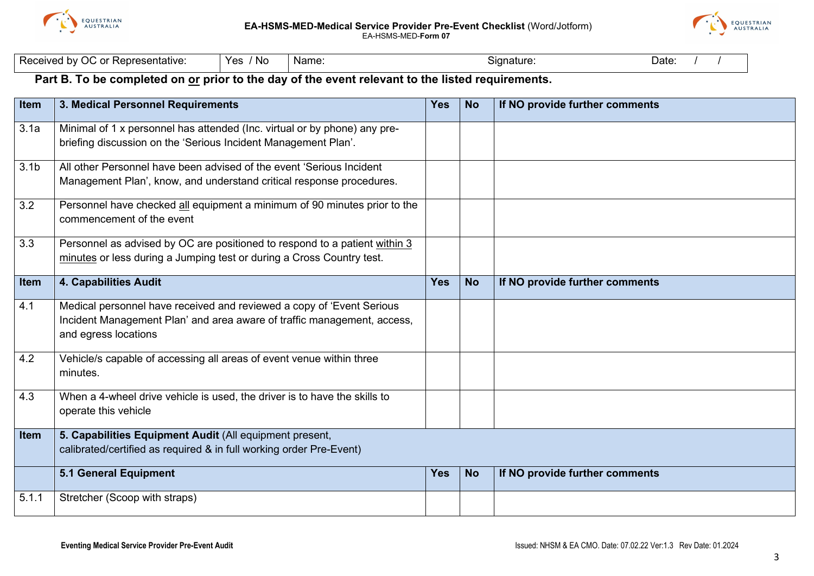



| hv<br>Representative:<br>$\sim$<br>Rece<br>~~<br>w<br>v<br>u | No<br>$V \cap V$<br>. | Name | sianature<br>. . | Date: |
|--------------------------------------------------------------|-----------------------|------|------------------|-------|
|--------------------------------------------------------------|-----------------------|------|------------------|-------|

# **Part B. To be completed on or prior to the day of the event relevant to the listed requirements.**

| <b>Item</b>      | 3. Medical Personnel Requirements                                                                                                                                        | <b>Yes</b> | <b>No</b> | If NO provide further comments |
|------------------|--------------------------------------------------------------------------------------------------------------------------------------------------------------------------|------------|-----------|--------------------------------|
| 3.1a             | Minimal of 1 x personnel has attended (Inc. virtual or by phone) any pre-<br>briefing discussion on the 'Serious Incident Management Plan'.                              |            |           |                                |
| 3.1 <sub>b</sub> | All other Personnel have been advised of the event 'Serious Incident<br>Management Plan', know, and understand critical response procedures.                             |            |           |                                |
| 3.2              | Personnel have checked all equipment a minimum of 90 minutes prior to the<br>commencement of the event                                                                   |            |           |                                |
| 3.3              | Personnel as advised by OC are positioned to respond to a patient within 3<br>minutes or less during a Jumping test or during a Cross Country test.                      |            |           |                                |
| <b>Item</b>      | 4. Capabilities Audit                                                                                                                                                    | <b>Yes</b> | <b>No</b> | If NO provide further comments |
| 4.1              | Medical personnel have received and reviewed a copy of 'Event Serious<br>Incident Management Plan' and area aware of traffic management, access,<br>and egress locations |            |           |                                |
| 4.2              | Vehicle/s capable of accessing all areas of event venue within three<br>minutes.                                                                                         |            |           |                                |
| 4.3              | When a 4-wheel drive vehicle is used, the driver is to have the skills to<br>operate this vehicle                                                                        |            |           |                                |
| <b>Item</b>      | 5. Capabilities Equipment Audit (All equipment present,<br>calibrated/certified as required & in full working order Pre-Event)                                           |            |           |                                |
|                  | <b>5.1 General Equipment</b>                                                                                                                                             | <b>Yes</b> | <b>No</b> | If NO provide further comments |
| 5.1.1            | Stretcher (Scoop with straps)                                                                                                                                            |            |           |                                |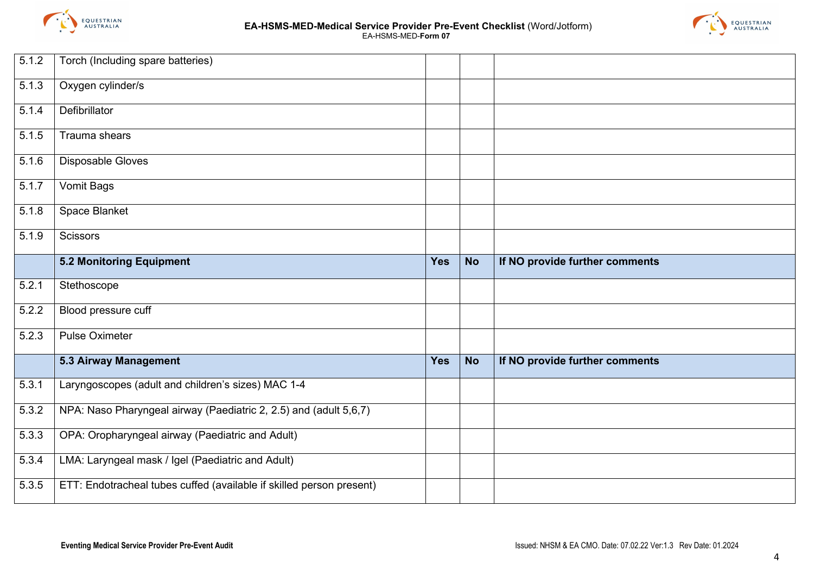



| $\overline{5}.1.2$ | Torch (Including spare batteries)                                    |            |           |                                |
|--------------------|----------------------------------------------------------------------|------------|-----------|--------------------------------|
| 5.1.3              | Oxygen cylinder/s                                                    |            |           |                                |
| 5.1.4              | Defibrillator                                                        |            |           |                                |
| 5.1.5              | Trauma shears                                                        |            |           |                                |
| 5.1.6              | Disposable Gloves                                                    |            |           |                                |
| $\overline{5.1.7}$ | Vomit Bags                                                           |            |           |                                |
| 5.1.8              | Space Blanket                                                        |            |           |                                |
| 5.1.9              | Scissors                                                             |            |           |                                |
|                    | <b>5.2 Monitoring Equipment</b>                                      | <b>Yes</b> | <b>No</b> | If NO provide further comments |
| 5.2.1              | Stethoscope                                                          |            |           |                                |
| 5.2.2              | Blood pressure cuff                                                  |            |           |                                |
| 5.2.3              | <b>Pulse Oximeter</b>                                                |            |           |                                |
|                    | <b>5.3 Airway Management</b>                                         | <b>Yes</b> | <b>No</b> | If NO provide further comments |
| 5.3.1              | Laryngoscopes (adult and children's sizes) MAC 1-4                   |            |           |                                |
| 5.3.2              | NPA: Naso Pharyngeal airway (Paediatric 2, 2.5) and (adult 5,6,7)    |            |           |                                |
| 5.3.3              | OPA: Oropharyngeal airway (Paediatric and Adult)                     |            |           |                                |
| 5.3.4              | LMA: Laryngeal mask / Igel (Paediatric and Adult)                    |            |           |                                |
| 5.3.5              | ETT: Endotracheal tubes cuffed (available if skilled person present) |            |           |                                |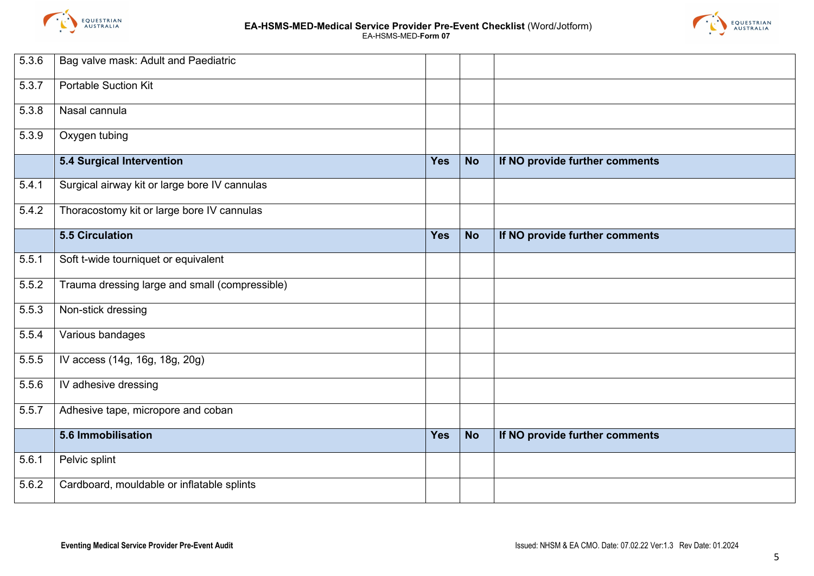



| 5.3.6 | Bag valve mask: Adult and Paediatric           |            |           |                                |
|-------|------------------------------------------------|------------|-----------|--------------------------------|
| 5.3.7 | <b>Portable Suction Kit</b>                    |            |           |                                |
| 5.3.8 | Nasal cannula                                  |            |           |                                |
| 5.3.9 | Oxygen tubing                                  |            |           |                                |
|       | 5.4 Surgical Intervention                      | <b>Yes</b> | <b>No</b> | If NO provide further comments |
| 5.4.1 | Surgical airway kit or large bore IV cannulas  |            |           |                                |
| 5.4.2 | Thoracostomy kit or large bore IV cannulas     |            |           |                                |
|       | <b>5.5 Circulation</b>                         | Yes        | <b>No</b> | If NO provide further comments |
| 5.5.1 | Soft t-wide tourniquet or equivalent           |            |           |                                |
| 5.5.2 | Trauma dressing large and small (compressible) |            |           |                                |
| 5.5.3 | Non-stick dressing                             |            |           |                                |
| 5.5.4 | Various bandages                               |            |           |                                |
| 5.5.5 | IV access (14g, 16g, 18g, 20g)                 |            |           |                                |
| 5.5.6 | IV adhesive dressing                           |            |           |                                |
| 5.5.7 | Adhesive tape, micropore and coban             |            |           |                                |
|       | 5.6 Immobilisation                             | Yes        | <b>No</b> | If NO provide further comments |
| 5.6.1 | Pelvic splint                                  |            |           |                                |
| 5.6.2 | Cardboard, mouldable or inflatable splints     |            |           |                                |